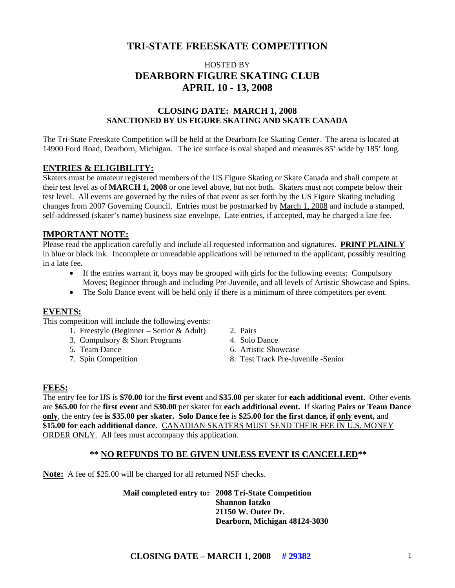# **TRI-STATE FREESKATE COMPETITION**

# HOSTED BY **DEARBORN FIGURE SKATING CLUB APRIL 10 - 13, 2008**

#### **CLOSING DATE: MARCH 1, 2008 SANCTIONED BY US FIGURE SKATING AND SKATE CANADA**

The Tri-State Freeskate Competition will be held at the Dearborn Ice Skating Center. The arena is located at 14900 Ford Road, Dearborn, Michigan. The ice surface is oval shaped and measures 85' wide by 185' long.

#### **ENTRIES & ELIGIBILITY:**

Skaters must be amateur registered members of the US Figure Skating or Skate Canada and shall compete at their test level as of **MARCH 1, 2008** or one level above, but not both. Skaters must not compete below their test level. All events are governed by the rules of that event as set forth by the US Figure Skating including changes from 2007 Governing Council. Entries must be postmarked by March 1, 2008 and include a stamped, self-addressed (skater's name) business size envelope. Late entries, if accepted, may be charged a late fee.

#### **IMPORTANT NOTE:**

Please read the application carefully and include all requested information and signatures. **PRINT PLAINLY** in blue or black ink. Incomplete or unreadable applications will be returned to the applicant, possibly resulting in a late fee.

- If the entries warrant it, boys may be grouped with girls for the following events: Compulsory Moves; Beginner through and including Pre-Juvenile, and all levels of Artistic Showcase and Spins.
- The Solo Dance event will be held only if there is a minimum of three competitors per event.

#### **EVENTS:**

This competition will include the following events:

- 1. Freestyle (Beginner Senior & Adult) 2. Pairs
- 3. Compulsory & Short Programs 4. Solo Dance
- 
- 
- 
- 
- 5. Team Dance 6. Artistic Showcase
- 7. Spin Competition 8. Test Track Pre-Juvenile -Senior

#### **FEES:**

The entry fee for IJS is **\$70.00** for the **first event** and **\$35.00** per skater for **each additional event.** Other events are **\$65.00** for the **first event** and **\$30.00** per skater for **each additional event.** If skating **Pairs or Team Dance only**, the entry fee **is \$35.00 per skater. Solo Dance fee** is **\$25.00 for the first dance, if only event,** and **\$15.00 for each additional dance**. CANADIAN SKATERS MUST SEND THEIR FEE IN U.S. MONEY ORDER ONLY. All fees must accompany this application.

#### **\*\* NO REFUNDS TO BE GIVEN UNLESS EVENT IS CANCELLED\*\***

**Note:** A fee of \$25.00 will be charged for all returned NSF checks.

 **Mail completed entry to: 2008 Tri-State Competition Shannon Iatzko 21150 W. Outer Dr. Dearborn, Michigan 48124-3030**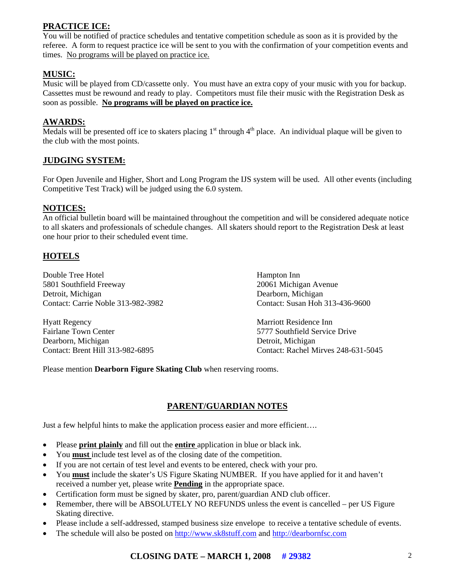## **PRACTICE ICE:**

You will be notified of practice schedules and tentative competition schedule as soon as it is provided by the referee. A form to request practice ice will be sent to you with the confirmation of your competition events and times. No programs will be played on practice ice.

## **MUSIC:**

Music will be played from CD/cassette only. You must have an extra copy of your music with you for backup. Cassettes must be rewound and ready to play. Competitors must file their music with the Registration Desk as soon as possible. **No programs will be played on practice ice.**

#### **AWARDS:**

Medals will be presented off ice to skaters placing  $1<sup>st</sup>$  through  $4<sup>th</sup>$  place. An individual plaque will be given to the club with the most points.

#### **JUDGING SYSTEM:**

For Open Juvenile and Higher, Short and Long Program the IJS system will be used. All other events (including Competitive Test Track) will be judged using the 6.0 system.

#### **NOTICES:**

An official bulletin board will be maintained throughout the competition and will be considered adequate notice to all skaters and professionals of schedule changes. All skaters should report to the Registration Desk at least one hour prior to their scheduled event time.

#### **HOTELS**

Double Tree Hotel Hampton Inn 5801 Southfield Freeway 20061 Michigan Avenue Detroit, Michigan Dearborn, Michigan Contact: Carrie Noble 313-982-3982 Contact: Susan Hoh 313-436-9600

Hyatt Regency Marriott Residence Inn Fairlane Town Center 6777 Southfield Service Drive Dearborn, Michigan Detroit, Michigan

Contact: Brent Hill 313-982-6895 Contact: Rachel Mirves 248-631-5045

Please mention **Dearborn Figure Skating Club** when reserving rooms.

# **PARENT/GUARDIAN NOTES**

Just a few helpful hints to make the application process easier and more efficient….

- Please **print plainly** and fill out the **entire** application in blue or black ink.
- You **must** include test level as of the closing date of the competition.
- If you are not certain of test level and events to be entered, check with your pro.
- You **must** include the skater's US Figure Skating NUMBER. If you have applied for it and haven't received a number yet, please write **Pending** in the appropriate space.
- Certification form must be signed by skater, pro, parent/guardian AND club officer.
- Remember, there will be ABSOLUTELY NO REFUNDS unless the event is cancelled per US Figure Skating directive.
- Please include a self-addressed, stamped business size envelope to receive a tentative schedule of events.
- The schedule will also be posted on [http://www.sk8stuff.com](http://www.sk8stuff.com/) and [http://dearbornfsc.com](http://dearbornfsc.com/)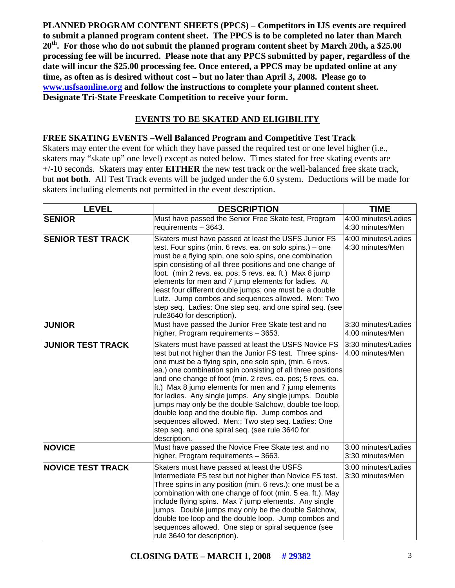**PLANNED PROGRAM CONTENT SHEETS (PPCS) – Competitors in IJS events are required to submit a planned program content sheet. The PPCS is to be completed no later than March 20th. For those who do not submit the planned program content sheet by March 20th, a \$25.00 processing fee will be incurred. Please note that any PPCS submitted by paper, regardless of the date will incur the \$25.00 processing fee. Once entered, a PPCS may be updated online at any time, as often as is desired without cost – but no later than April 3, 2008. Please go to [www.usfsaonline.org](http://www.usfsaonline.org/) and follow the instructions to complete your planned content sheet. Designate Tri-State Freeskate Competition to receive your form.** 

### **EVENTS TO BE SKATED AND ELIGIBILITY**

# **FREE SKATING EVENTS** –**Well Balanced Program and Competitive Test Track**

Skaters may enter the event for which they have passed the required test or one level higher (i.e., skaters may "skate up" one level) except as noted below. Times stated for free skating events are +/-10 seconds. Skaters may enter **EITHER** the new test track or the well-balanced free skate track, but **not both**. All Test Track events will be judged under the 6.0 system. Deductions will be made for skaters including elements not permitted in the event description.

| <b>LEVEL</b>             | <b>DESCRIPTION</b>                                                                                                                                                                                                                                                                                                                                                                                                                                                                                                                                                                                                                                                 | <b>TIME</b>                             |
|--------------------------|--------------------------------------------------------------------------------------------------------------------------------------------------------------------------------------------------------------------------------------------------------------------------------------------------------------------------------------------------------------------------------------------------------------------------------------------------------------------------------------------------------------------------------------------------------------------------------------------------------------------------------------------------------------------|-----------------------------------------|
| <b>SENIOR</b>            | Must have passed the Senior Free Skate test, Program<br>requirements - 3643.                                                                                                                                                                                                                                                                                                                                                                                                                                                                                                                                                                                       | 4:00 minutes/Ladies<br>4:30 minutes/Men |
| <b>SENIOR TEST TRACK</b> | Skaters must have passed at least the USFS Junior FS<br>test. Four spins (min. 6 revs. ea. on solo spins.) - one<br>must be a flying spin, one solo spins, one combination<br>spin consisting of all three positions and one change of<br>foot. (min 2 revs. ea. pos; 5 revs. ea. ft.) Max 8 jump<br>elements for men and 7 jump elements for ladies. At<br>least four different double jumps; one must be a double<br>Lutz. Jump combos and sequences allowed. Men: Two<br>step seq. Ladies: One step seq. and one spiral seq. (see<br>rule3640 for description).                                                                                                 | 4:00 minutes/Ladies<br>4:30 minutes/Men |
| <b>JUNIOR</b>            | Must have passed the Junior Free Skate test and no<br>higher, Program requirements - 3653.                                                                                                                                                                                                                                                                                                                                                                                                                                                                                                                                                                         | 3:30 minutes/Ladies<br>4:00 minutes/Men |
| <b>JUNIOR TEST TRACK</b> | Skaters must have passed at least the USFS Novice FS<br>test but not higher than the Junior FS test. Three spins-<br>one must be a flying spin, one solo spin, (min. 6 revs.<br>ea.) one combination spin consisting of all three positions<br>and one change of foot (min. 2 revs. ea. pos; 5 revs. ea.<br>ft.) Max 8 jump elements for men and 7 jump elements<br>for ladies. Any single jumps. Any single jumps. Double<br>jumps may only be the double Salchow, double toe loop,<br>double loop and the double flip. Jump combos and<br>sequences allowed. Men:; Two step seq. Ladies: One<br>step seq. and one spiral seq. (see rule 3640 for<br>description. | 3:30 minutes/Ladies<br>4:00 minutes/Men |
| <b>NOVICE</b>            | Must have passed the Novice Free Skate test and no<br>higher, Program requirements - 3663.                                                                                                                                                                                                                                                                                                                                                                                                                                                                                                                                                                         | 3:00 minutes/Ladies<br>3:30 minutes/Men |
| <b>NOVICE TEST TRACK</b> | Skaters must have passed at least the USFS<br>Intermediate FS test but not higher than Novice FS test.<br>Three spins in any position (min. 6 revs.): one must be a<br>combination with one change of foot (min. 5 ea. ft.). May<br>include flying spins. Max 7 jump elements. Any single<br>jumps. Double jumps may only be the double Salchow,<br>double toe loop and the double loop. Jump combos and<br>sequences allowed. One step or spiral sequence (see<br>rule 3640 for description).                                                                                                                                                                     | 3:00 minutes/Ladies<br>3:30 minutes/Men |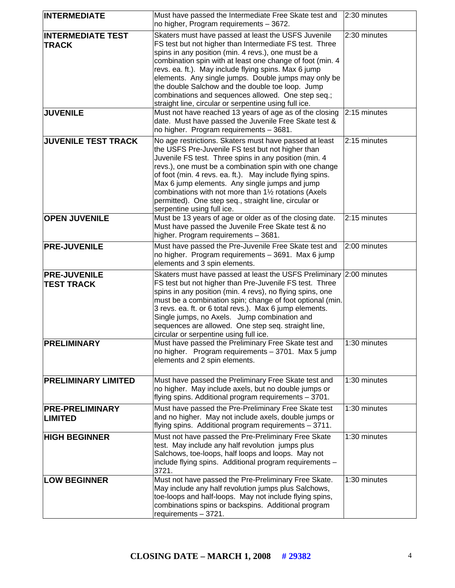| <b>INTERMEDIATE</b>                      | Must have passed the Intermediate Free Skate test and<br>no higher, Program requirements - 3672.                                                                                                                                                                                                                                                                                                                                                                                                                      | 2:30 minutes              |
|------------------------------------------|-----------------------------------------------------------------------------------------------------------------------------------------------------------------------------------------------------------------------------------------------------------------------------------------------------------------------------------------------------------------------------------------------------------------------------------------------------------------------------------------------------------------------|---------------------------|
| <b>INTERMEDIATE TEST</b><br><b>TRACK</b> | Skaters must have passed at least the USFS Juvenile<br>FS test but not higher than Intermediate FS test. Three<br>spins in any position (min. 4 revs.), one must be a<br>combination spin with at least one change of foot (min. 4<br>revs. ea. ft.). May include flying spins. Max 6 jump<br>elements. Any single jumps. Double jumps may only be<br>the double Salchow and the double toe loop. Jump<br>combinations and sequences allowed. One step seq.;<br>straight line, circular or serpentine using full ice. | 2:30 minutes              |
| <b>JUVENILE</b>                          | Must not have reached 13 years of age as of the closing<br>date. Must have passed the Juvenile Free Skate test &<br>no higher. Program requirements - 3681.                                                                                                                                                                                                                                                                                                                                                           | 2:15 minutes              |
| <b>JUVENILE TEST TRACK</b>               | No age restrictions. Skaters must have passed at least<br>the USFS Pre-Juvenile FS test but not higher than<br>Juvenile FS test. Three spins in any position (min. 4<br>revs.), one must be a combination spin with one change<br>of foot (min. 4 revs. ea. ft.). May include flying spins.<br>Max 6 jump elements. Any single jumps and jump<br>combinations with not more than 11/2 rotations (Axels<br>permitted). One step seq., straight line, circular or<br>serpentine using full ice.                         | 2:15 minutes              |
| <b>OPEN JUVENILE</b>                     | Must be 13 years of age or older as of the closing date.<br>Must have passed the Juvenile Free Skate test & no<br>higher. Program requirements - 3681.                                                                                                                                                                                                                                                                                                                                                                | 2:15 minutes              |
| <b>PRE-JUVENILE</b>                      | Must have passed the Pre-Juvenile Free Skate test and<br>no higher. Program requirements - 3691. Max 6 jump<br>elements and 3 spin elements.                                                                                                                                                                                                                                                                                                                                                                          | 2:00 minutes              |
| <b>PRE-JUVENILE</b><br><b>TEST TRACK</b> | Skaters must have passed at least the USFS Preliminary 2:00 minutes<br>FS test but not higher than Pre-Juvenile FS test. Three<br>spins in any position (min. 4 revs), no flying spins, one<br>must be a combination spin; change of foot optional (min.<br>3 revs. ea. ft. or 6 total revs.). Max 6 jump elements.<br>Single jumps, no Axels. Jump combination and<br>sequences are allowed. One step seq. straight line,<br>circular or serpentine using full ice.                                                  |                           |
| <b>PRELIMINARY</b>                       | Must have passed the Preliminary Free Skate test and<br>no higher. Program requirements - 3701. Max 5 jump<br>elements and 2 spin elements.                                                                                                                                                                                                                                                                                                                                                                           | $\overline{1:}30$ minutes |
| <b>PRELIMINARY LIMITED</b>               | Must have passed the Preliminary Free Skate test and<br>no higher. May include axels, but no double jumps or<br>flying spins. Additional program requirements - 3701.                                                                                                                                                                                                                                                                                                                                                 | 1:30 minutes              |
| <b>PRE-PRELIMINARY</b><br><b>LIMITED</b> | Must have passed the Pre-Preliminary Free Skate test<br>and no higher. May not include axels, double jumps or<br>flying spins. Additional program requirements - 3711.                                                                                                                                                                                                                                                                                                                                                | 1:30 minutes              |
| <b>HIGH BEGINNER</b>                     | Must not have passed the Pre-Preliminary Free Skate<br>test. May include any half revolution jumps plus<br>Salchows, toe-loops, half loops and loops. May not<br>include flying spins. Additional program requirements -<br>3721.                                                                                                                                                                                                                                                                                     | 1:30 minutes              |
| <b>LOW BEGINNER</b>                      | Must not have passed the Pre-Preliminary Free Skate.<br>May include any half revolution jumps plus Salchows,<br>toe-loops and half-loops. May not include flying spins,<br>combinations spins or backspins. Additional program<br>requirements - 3721.                                                                                                                                                                                                                                                                | 1:30 minutes              |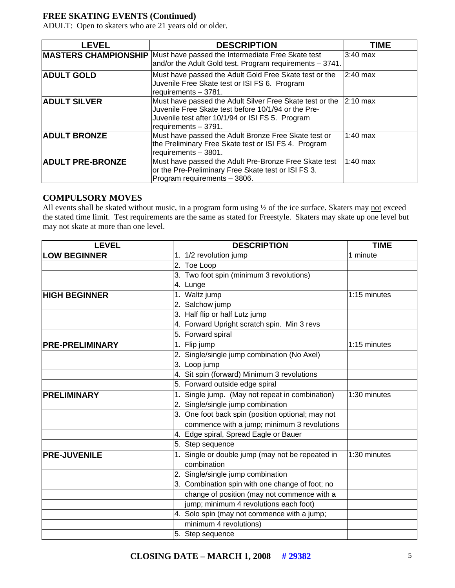## **FREE SKATING EVENTS (Continued)**

ADULT: Open to skaters who are 21 years old or older.

| <b>LEVEL</b>            | <b>DESCRIPTION</b>                                                                                                                                                                                   | TIME       |
|-------------------------|------------------------------------------------------------------------------------------------------------------------------------------------------------------------------------------------------|------------|
|                         | <b>MASTERS CHAMPIONSHIP</b> Must have passed the Intermediate Free Skate test<br>and/or the Adult Gold test. Program requirements - 3741.                                                            | $3:40$ max |
| <b>ADULT GOLD</b>       | Must have passed the Adult Gold Free Skate test or the<br>Juvenile Free Skate test or ISI FS 6. Program<br>requirements - 3781.                                                                      | $2:40$ max |
| <b>ADULT SILVER</b>     | Must have passed the Adult Silver Free Skate test or the 2:10 max<br>Juvenile Free Skate test before 10/1/94 or the Pre-<br>Juvenile test after 10/1/94 or ISI FS 5. Program<br>requirements - 3791. |            |
| <b>ADULT BRONZE</b>     | Must have passed the Adult Bronze Free Skate test or<br>the Preliminary Free Skate test or ISI FS 4. Program<br>requirements - 3801.                                                                 | $1:40$ max |
| <b>ADULT PRE-BRONZE</b> | Must have passed the Adult Pre-Bronze Free Skate test<br>or the Pre-Preliminary Free Skate test or ISI FS 3.<br>Program requirements - 3806.                                                         | $1:40$ max |

### **COMPULSORY MOVES**

All events shall be skated without music, in a program form using  $\frac{1}{2}$  of the ice surface. Skaters may not exceed the stated time limit. Test requirements are the same as stated for Freestyle. Skaters may skate up one level but may not skate at more than one level.

| <b>LEVEL</b>           | <b>DESCRIPTION</b>                                | <b>TIME</b>  |
|------------------------|---------------------------------------------------|--------------|
| <b>LOW BEGINNER</b>    | 1. 1/2 revolution jump                            | 1 minute     |
|                        | 2. Toe Loop                                       |              |
|                        | 3. Two foot spin (minimum 3 revolutions)          |              |
|                        | 4. Lunge                                          |              |
| <b>HIGH BEGINNER</b>   | 1. Waltz jump                                     | 1:15 minutes |
|                        | 2. Salchow jump                                   |              |
|                        | 3. Half flip or half Lutz jump                    |              |
|                        | 4. Forward Upright scratch spin. Min 3 revs       |              |
|                        | 5. Forward spiral                                 |              |
| <b>PRE-PRELIMINARY</b> | 1. Flip jump                                      | 1:15 minutes |
|                        | 2. Single/single jump combination (No Axel)       |              |
|                        | 3. Loop jump                                      |              |
|                        | 4. Sit spin (forward) Minimum 3 revolutions       |              |
|                        | 5. Forward outside edge spiral                    |              |
| <b>PRELIMINARY</b>     | 1. Single jump. (May not repeat in combination)   | 1:30 minutes |
|                        | 2. Single/single jump combination                 |              |
|                        | 3. One foot back spin (position optional; may not |              |
|                        | commence with a jump; minimum 3 revolutions       |              |
|                        | 4. Edge spiral, Spread Eagle or Bauer             |              |
|                        | 5. Step sequence                                  |              |
| <b>PRE-JUVENILE</b>    | 1. Single or double jump (may not be repeated in  | 1:30 minutes |
|                        | combination                                       |              |
|                        | 2. Single/single jump combination                 |              |
|                        | 3. Combination spin with one change of foot; no   |              |
|                        | change of position (may not commence with a       |              |
|                        | jump; minimum 4 revolutions each foot)            |              |
|                        | 4. Solo spin (may not commence with a jump;       |              |
|                        | minimum 4 revolutions)                            |              |
|                        | 5. Step sequence                                  |              |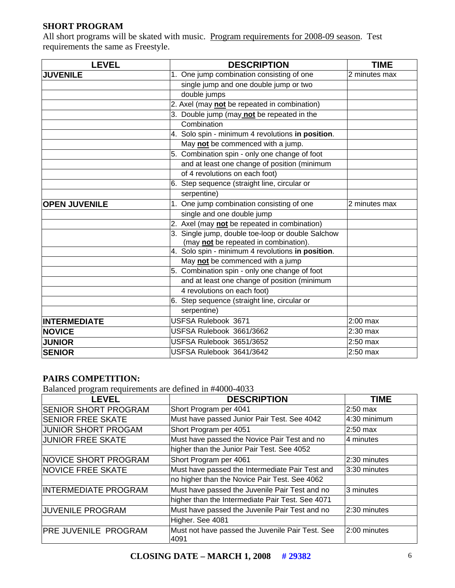## **SHORT PROGRAM**

All short programs will be skated with music. Program requirements for 2008-09 season. Test requirements the same as Freestyle.

| <b>LEVEL</b>         | <b>DESCRIPTION</b>                                                                         | <b>TIME</b>   |
|----------------------|--------------------------------------------------------------------------------------------|---------------|
| <b>JUVENILE</b>      | 1. One jump combination consisting of one                                                  | 2 minutes max |
|                      | single jump and one double jump or two                                                     |               |
|                      | double jumps                                                                               |               |
|                      | 2. Axel (may not be repeated in combination)                                               |               |
|                      | 3. Double jump (may not be repeated in the                                                 |               |
|                      | Combination                                                                                |               |
|                      | 4. Solo spin - minimum 4 revolutions in position.                                          |               |
|                      | May not be commenced with a jump.                                                          |               |
|                      | 5. Combination spin - only one change of foot                                              |               |
|                      | and at least one change of position (minimum                                               |               |
|                      | of 4 revolutions on each foot)                                                             |               |
|                      | 6. Step sequence (straight line, circular or                                               |               |
|                      | serpentine)                                                                                |               |
| <b>OPEN JUVENILE</b> | 1. One jump combination consisting of one                                                  | 2 minutes max |
|                      | single and one double jump                                                                 |               |
|                      | 2. Axel (may not be repeated in combination)                                               |               |
|                      | 3. Single jump, double toe-loop or double Salchow<br>(may not be repeated in combination). |               |
|                      | 4. Solo spin - minimum 4 revolutions in position.                                          |               |
|                      | May not be commenced with a jump                                                           |               |
|                      | 5. Combination spin - only one change of foot                                              |               |
|                      | and at least one change of position (minimum                                               |               |
|                      | 4 revolutions on each foot)                                                                |               |
|                      | 6. Step sequence (straight line, circular or                                               |               |
|                      | serpentine)                                                                                |               |
| <b>INTERMEDIATE</b>  | USFSA Rulebook 3671                                                                        | $2:00$ max    |
| <b>NOVICE</b>        | USFSA Rulebook 3661/3662                                                                   | $2:30$ max    |
| <b>JUNIOR</b>        | USFSA Rulebook 3651/3652                                                                   | $2:50$ max    |
| <b>SENIOR</b>        | USFSA Rulebook 3641/3642                                                                   | 2:50 max      |

# **PAIRS COMPETITION:**

Balanced program requirements are defined in #4000-4033

| <b>LEVEL</b>                | <b>DESCRIPTION</b>                                       | <b>TIME</b>  |
|-----------------------------|----------------------------------------------------------|--------------|
| <b>SENIOR SHORT PROGRAM</b> | Short Program per 4041                                   | $2:50$ max   |
| <b>SENIOR FREE SKATE</b>    | Must have passed Junior Pair Test. See 4042              | 4:30 minimum |
| <b>JUNIOR SHORT PROGAM</b>  | Short Program per 4051                                   | 2:50 max     |
| <b>JUNIOR FREE SKATE</b>    | Must have passed the Novice Pair Test and no             | 4 minutes    |
|                             | higher than the Junior Pair Test. See 4052               |              |
| NOVICE SHORT PROGRAM        | Short Program per 4061                                   | 2:30 minutes |
| <b>NOVICE FREE SKATE</b>    | Must have passed the Intermediate Pair Test and          | 3:30 minutes |
|                             | no higher than the Novice Pair Test. See 4062            |              |
| <b>INTERMEDIATE PROGRAM</b> | Must have passed the Juvenile Pair Test and no           | 3 minutes    |
|                             | higher than the Intermediate Pair Test. See 4071         |              |
| <b>JUVENILE PROGRAM</b>     | Must have passed the Juvenile Pair Test and no           | 2:30 minutes |
|                             | Higher. See 4081                                         |              |
| <b>PRE JUVENILE PROGRAM</b> | Must not have passed the Juvenile Pair Test. See<br>4091 | 2:00 minutes |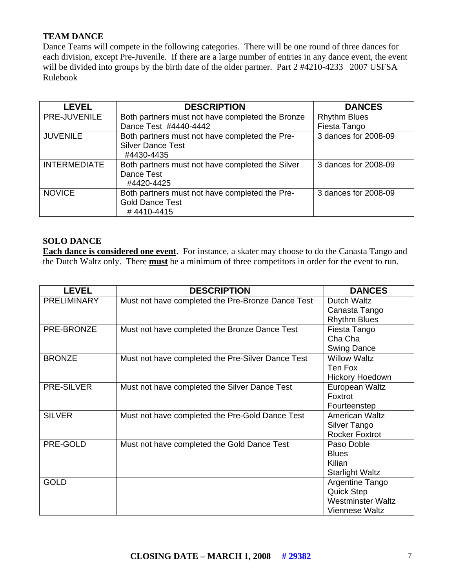## **TEAM DANCE**

Dance Teams will compete in the following categories. There will be one round of three dances for each division, except Pre-Juvenile. If there are a large number of entries in any dance event, the event will be divided into groups by the birth date of the older partner. Part 2 #4210-4233 2007 USFSA Rulebook

| <b>LEVEL</b>        | <b>DESCRIPTION</b>                                                                       | <b>DANCES</b>        |
|---------------------|------------------------------------------------------------------------------------------|----------------------|
| PRE-JUVENILE        | Both partners must not have completed the Bronze                                         | <b>Rhythm Blues</b>  |
|                     | Dance Test #4440-4442                                                                    | Fiesta Tango         |
| <b>JUVENILE</b>     | Both partners must not have completed the Pre-<br><b>Silver Dance Test</b><br>#4430-4435 | 3 dances for 2008-09 |
| <b>INTERMEDIATE</b> | Both partners must not have completed the Silver<br>Dance Test<br>#4420-4425             | 3 dances for 2008-09 |
| <b>NOVICE</b>       | Both partners must not have completed the Pre-<br><b>Gold Dance Test</b><br>#4410-4415   | 3 dances for 2008-09 |

### **SOLO DANCE**

**Each dance is considered one event**. For instance, a skater may choose to do the Canasta Tango and the Dutch Waltz only. There **must** be a minimum of three competitors in order for the event to run.

| <b>LEVEL</b>       | <b>DESCRIPTION</b>                                | <b>DANCES</b>            |
|--------------------|---------------------------------------------------|--------------------------|
| <b>PRELIMINARY</b> | Must not have completed the Pre-Bronze Dance Test | Dutch Waltz              |
|                    |                                                   | Canasta Tango            |
|                    |                                                   | <b>Rhythm Blues</b>      |
| PRE-BRONZE         | Must not have completed the Bronze Dance Test     | Fiesta Tango             |
|                    |                                                   | Cha Cha                  |
|                    |                                                   | <b>Swing Dance</b>       |
| <b>BRONZE</b>      | Must not have completed the Pre-Silver Dance Test | <b>Willow Waltz</b>      |
|                    |                                                   | Ten Fox                  |
|                    |                                                   | <b>Hickory Hoedown</b>   |
| <b>PRE-SILVER</b>  | Must not have completed the Silver Dance Test     | European Waltz           |
|                    |                                                   | Foxtrot                  |
|                    |                                                   | Fourteenstep             |
| <b>SILVER</b>      | Must not have completed the Pre-Gold Dance Test   | <b>American Waltz</b>    |
|                    |                                                   | Silver Tango             |
|                    |                                                   | <b>Rocker Foxtrot</b>    |
| PRE-GOLD           | Must not have completed the Gold Dance Test       | Paso Doble               |
|                    |                                                   | <b>Blues</b>             |
|                    |                                                   | Kilian                   |
|                    |                                                   | <b>Starlight Waltz</b>   |
| <b>GOLD</b>        |                                                   | Argentine Tango          |
|                    |                                                   | <b>Quick Step</b>        |
|                    |                                                   | <b>Westminster Waltz</b> |
|                    |                                                   | Viennese Waltz           |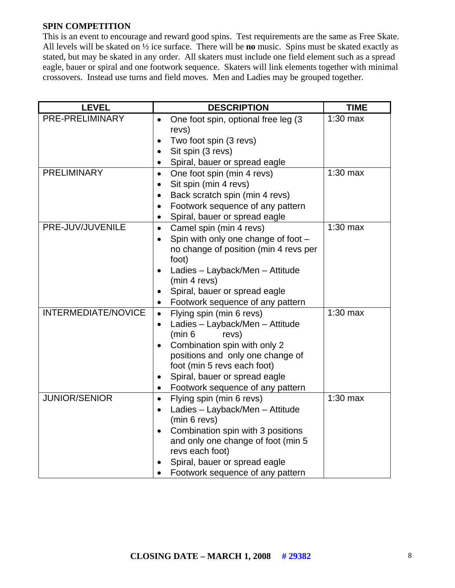#### **SPIN COMPETITION**

This is an event to encourage and reward good spins. Test requirements are the same as Free Skate. All levels will be skated on ½ ice surface. There will be **no** music. Spins must be skated exactly as stated, but may be skated in any order. All skaters must include one field element such as a spread eagle, bauer or spiral and one footwork sequence. Skaters will link elements together with minimal crossovers. Instead use turns and field moves. Men and Ladies may be grouped together.

| <b>LEVEL</b>               | <b>DESCRIPTION</b>                               | <b>TIME</b> |
|----------------------------|--------------------------------------------------|-------------|
| PRE-PRELIMINARY            | One foot spin, optional free leg (3<br>$\bullet$ | $1:30$ max  |
|                            | revs)                                            |             |
|                            | Two foot spin (3 revs)<br>$\bullet$              |             |
|                            | Sit spin (3 revs)<br>$\bullet$                   |             |
|                            | Spiral, bauer or spread eagle<br>$\bullet$       |             |
| <b>PRELIMINARY</b>         | One foot spin (min 4 revs)<br>$\bullet$          | $1:30$ max  |
|                            | Sit spin (min 4 revs)<br>$\bullet$               |             |
|                            | Back scratch spin (min 4 revs)<br>$\bullet$      |             |
|                            | Footwork sequence of any pattern<br>$\bullet$    |             |
|                            | Spiral, bauer or spread eagle<br>$\bullet$       |             |
| PRE-JUV/JUVENILE           | Camel spin (min 4 revs)<br>$\bullet$             | $1:30$ max  |
|                            | Spin with only one change of foot -<br>$\bullet$ |             |
|                            | no change of position (min 4 revs per            |             |
|                            | foot)                                            |             |
|                            | Ladies - Layback/Men - Attitude<br>$\bullet$     |             |
|                            | (min 4 revs)                                     |             |
|                            | Spiral, bauer or spread eagle                    |             |
|                            | Footwork sequence of any pattern<br>$\bullet$    |             |
| <b>INTERMEDIATE/NOVICE</b> | Flying spin (min 6 revs)<br>$\bullet$            | $1:30$ max  |
|                            | Ladies - Layback/Men - Attitude<br>$\bullet$     |             |
|                            | (min 6<br>revs)                                  |             |
|                            | Combination spin with only 2<br>$\bullet$        |             |
|                            | positions and only one change of                 |             |
|                            | foot (min 5 revs each foot)                      |             |
|                            | Spiral, bauer or spread eagle<br>$\bullet$       |             |
|                            | Footwork sequence of any pattern<br>$\bullet$    |             |
| <b>JUNIOR/SENIOR</b>       | Flying spin (min 6 revs)<br>$\bullet$            | $1:30$ max  |
|                            | Ladies - Layback/Men - Attitude<br>$\bullet$     |             |
|                            | (min 6 revs)                                     |             |
|                            | Combination spin with 3 positions<br>$\bullet$   |             |
|                            | and only one change of foot (min 5               |             |
|                            | revs each foot)                                  |             |
|                            | Spiral, bauer or spread eagle                    |             |
|                            | Footwork sequence of any pattern                 |             |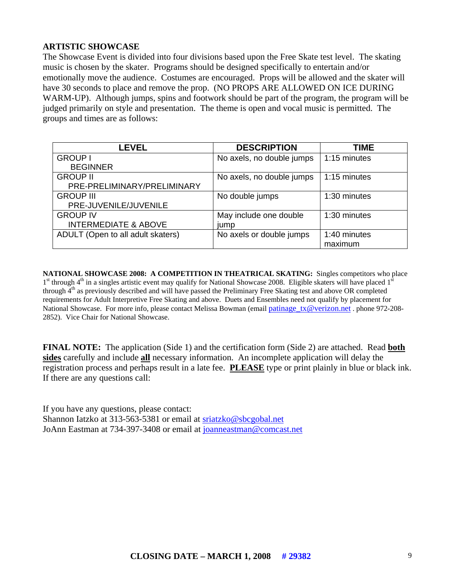### **ARTISTIC SHOWCASE**

The Showcase Event is divided into four divisions based upon the Free Skate test level. The skating music is chosen by the skater. Programs should be designed specifically to entertain and/or emotionally move the audience. Costumes are encouraged. Props will be allowed and the skater will have 30 seconds to place and remove the prop. (NO PROPS ARE ALLOWED ON ICE DURING WARM-UP). Although jumps, spins and footwork should be part of the program, the program will be judged primarily on style and presentation. The theme is open and vocal music is permitted. The groups and times are as follows:

| <b>LEVEL</b>                      | <b>DESCRIPTION</b>        | TIME         |
|-----------------------------------|---------------------------|--------------|
| <b>GROUP I</b>                    | No axels, no double jumps | 1:15 minutes |
| <b>BEGINNER</b>                   |                           |              |
| <b>GROUP II</b>                   | No axels, no double jumps | 1:15 minutes |
| PRE-PRELIMINARY/PRELIMINARY       |                           |              |
| <b>GROUP III</b>                  | No double jumps           | 1:30 minutes |
| PRE-JUVENILE/JUVENILE             |                           |              |
| <b>GROUP IV</b>                   | May include one double    | 1:30 minutes |
| <b>INTERMEDIATE &amp; ABOVE</b>   | jump                      |              |
| ADULT (Open to all adult skaters) | No axels or double jumps  | 1:40 minutes |
|                                   |                           | maximum      |

**NATIONAL SHOWCASE 2008: A COMPETITION IN THEATRICAL SKATING:** Singles competitors who place  $1<sup>st</sup>$  through 4<sup>th</sup> in a singles artistic event may qualify for National Showcase 2008. Eligible skaters will have placed  $1<sup>s</sup>$ through  $4<sup>th</sup>$  as previously described and will have passed the Preliminary Free Skating test and above OR completed requirements for Adult Interpretive Free Skating and above. Duets and Ensembles need not qualify by placement for National Showcase. For more info, please contact Melissa Bowman (email [patinage\\_tx@verizon.net](mailto:patinage_tx@verizon.net) . phone 972-208-2852). Vice Chair for National Showcase.

**FINAL NOTE:** The application (Side 1) and the certification form (Side 2) are attached. Read **both sides** carefully and include **all** necessary information. An incomplete application will delay the registration process and perhaps result in a late fee. **PLEASE** type or print plainly in blue or black ink. If there are any questions call:

If you have any questions, please contact: Shannon Iatzko at 313-563-5381 or email at [sriatzko@sbcgobal.net](mailto:sriatzko@sbcgobal.net)  JoAnn Eastman at 734-397-3408 or email at [joanneastman@comcast.net](mailto:joanneastman@comcast.net)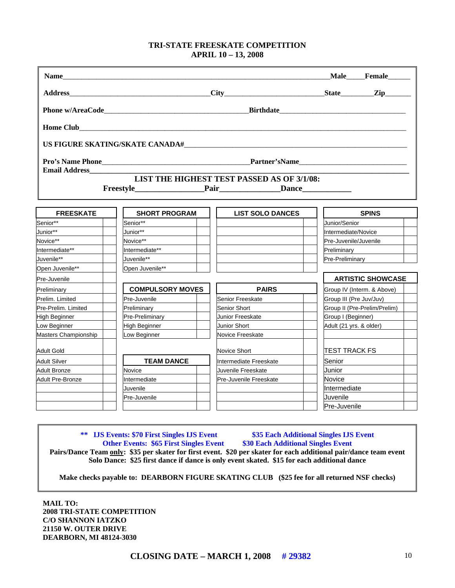#### **TRI-STATE FREESKATE COMPETITION APRIL 10 – 13, 2008**

**Name Male Female Address**\_\_\_\_\_\_\_\_\_\_\_\_\_\_\_\_\_\_\_\_\_\_\_\_\_\_\_\_\_\_\_\_\_\_\_\_\_\_**City**\_\_\_\_\_\_\_\_\_\_\_\_\_\_\_\_\_\_\_\_\_\_\_\_\_\_\_**State**\_\_\_\_\_\_\_\_\_**Zip**\_\_\_\_\_\_\_ **Phone w/AreaCode**\_\_\_\_\_\_\_\_\_\_\_\_\_\_\_\_\_\_\_\_\_\_\_\_\_\_\_\_\_\_\_\_\_\_\_\_\_\_\_**Birthdate**\_\_\_\_\_\_\_\_\_\_\_\_\_\_\_\_\_\_\_\_\_\_\_\_\_\_\_\_\_\_\_\_\_\_ **Home Club US FIGURE SKATING/SKATE CANADA#**\_\_\_\_\_\_\_\_\_\_\_\_\_\_\_\_\_\_\_\_\_\_\_\_\_\_\_\_\_\_\_\_\_\_\_\_\_\_\_\_\_\_\_\_\_\_\_\_\_\_\_\_\_\_\_\_\_\_\_\_ **Pro's Name Phone**\_\_\_\_\_\_\_\_\_\_\_\_\_\_\_\_\_\_\_\_\_\_\_\_\_\_\_\_\_\_\_\_\_\_\_\_\_\_\_\_**Partner'sName**\_\_\_\_\_\_\_\_\_\_\_\_\_\_\_\_\_\_\_\_\_\_\_\_\_\_\_\_\_ **Email Address LIST THE HIGHEST TEST PASSED AS OF 3/1/08:**  Freestyle Pair Pair Dance **FREESKATE SHORT PROGRAM LIST SOLO DANCES SPINS**  Senior\*\* Senior\*\* Junior/Senior Junior\*\* The Louis State of the Union of Australian State of Tennes in the Union of the Union of the Union of the Union of the Union of the Union of the Union of the Union of the Union of the Union of the Union of the Unio Novice\*\* | | |Novice\*\* | | | | | |Pre-Juvenile/Juvenile Intermediate\*\* Intermediate\*\* Preliminary Juvenile\*\* Juvenile\*\* Pre-Preliminary Open Juvenile\*\* **Denational Contract Propen Juvenile\*\*** Pre-Juvenile **ARTISTIC SHOWCASE**  Preliminary **COMPULSORY MOVES | | PAIRS** | Group IV (Interm. & Above) Prelim. Limited | Pre-Juvenile | Senior Freeskate | Group III (Pre Juv/Juv) Pre-Prelim. Limited | Preliminary | Senior Short | Group II (Pre-Prelim/Prelim) High Beginner Pre-Preliminary Pre-Preliminary Pre-Breeskate Preses (Group I (Beginner) Low Beginner Junior High Beginner Junior Short High Adult (21 yrs. & older) Masters Championship | Low Beginner | Novice Freeskate Adult Gold **Novice Short** Novice Short **Novice Short** Novice Short **Novice Short** Novice Short **Novice Short** Novice Short **Novice Short** Novice Short Novice Short Novice Short Novice Short Novice Short Novice Short Novice Adult Silver **TEAM DANCE** | Intermediate Freeskate | Senior Adult Bronze Zurenille Novice Novice Adult Bronze Junior Novice Junior Section Adult Bronze Adult Pre-Bronze Intermediate Pre-Juvenile Freeskate Novice Juvenile **Intermediate** Pre-Juvenile Juvenile Pre-Juvenile

**\*\* IJS Events: \$70 First Singles IJS Event \$35 Each Additional Singles IJS Event Other Events: \$65 First Singles Event <br>\$30 Each Additional Singles Event Pairs/Dance Team only: \$35 per skater for first event. \$20 per skater for each additional pair/dance team event Solo Dance: \$25 first dance if dance is only event skated. \$15 for each additional dance** 

**Make checks payable to: DEARBORN FIGURE SKATING CLUB (\$25 fee for all returned NSF checks)** 

**MAIL TO: 2008 TRI-STATE COMPETITION C/O SHANNON IATZKO 21150 W. OUTER DRIVE DEARBORN, MI 48124-3030**